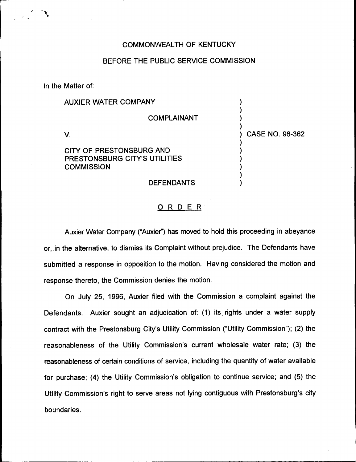## COMMONWEALTH OF KENTUCKY

### BEFORE THE PUBLIC SERVICE COMMISSION

In the Matter of:

# AUXIER WATER COMPANY

COMPLAINANT

) ) ) )

) ) ) ) ) ) ) CASE NO. 96-362

 $V_{\cdot}$ 

## CITY OF PRESTONSBURG AND PRESTONSBURG CITY'S UTILITIES **COMMISSION**

#### **DEFENDANTS**

#### ORDER

Auxier Water Company ("Auxier") has moved to hold this proceeding in abeyance or, in the alternative, to dismiss its Complaint without prejudice. The Defendants have submitted a response in opposition to the motion. Having considered the motion and response thereto, the Commission denies the motion.

On July 25, 1996, Auxier filed with the Commission a complaint against the Defendants. Auxier sought an adjudication of: (1) its rights under a water supply contract with the Prestonsburg City's Utility Commission ("Utility Commission\*'); (2) the reasonableness of the Utility Commission's current wholesale water rate; (3) the reasonableness of certain conditions of service, including the quantity of water available for purchase; (4) the Utility Commission's obligation to continue service; and (5) the Utility Commission's right to serve areas not lying contiguous with Prestonsburg's city boundaries.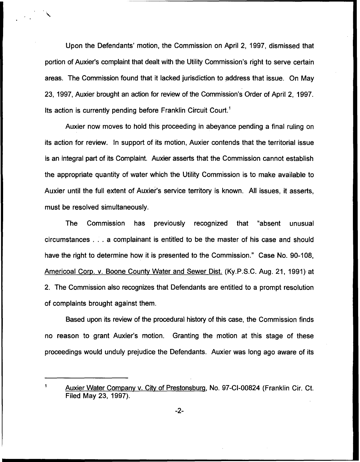Upon the Defendants' motion, the Commission on April 2, 1997, dismissed that portion of Auxier's complaint that dealt with the Utility Commission's right to serve certain areas. The Commission found that it lacked jurisdiction to address that issue. On May 23, 1997, Auxier brought an action for review of the Commission's Order of April 2, 1997. Its action is currently pending before Franklin Circuit Court."

Auxier now moves to hold this proceeding in abeyance pending a final ruling on its action for review. In support of its motion, Auxier contends that the territorial issue is an integral part of its Complaint. Auxier asserts that the Commission cannot establish the appropriate quantity of water which the Utility Commission is to make available to Auxier until the full extent of Auxier's service territory is known. All issues, it asserts, must be resolved simultaneously.

The Commission has previously recognized that "absent unusual circumstances... a complainant is entitled to be the master of his case and should have the right to determine how it is presented to the Commission." Case No. 90-108, Americoal Corp. v. Boone Countv Water and Sewer Dist. (Ky.P.S.C. Aug. 21, 1991) at 2. The Commission also recognizes that Defendants are entitled to a prompt resolution of complaints brought against them.

Based upon its review of the procedural history of this case, the Commission finds no reason to grant Auxier's motion. Granting the motion at this stage of these proceedings would unduly prejudice the Defendants. Auxier was long ago aware of its

 $\mathbf{1}$ Auxier Water Comoanv v. Citv of Prestonsbura, No. 97-Cl-00824 (Franklin Cir. Ct. Filed May 23, 1997).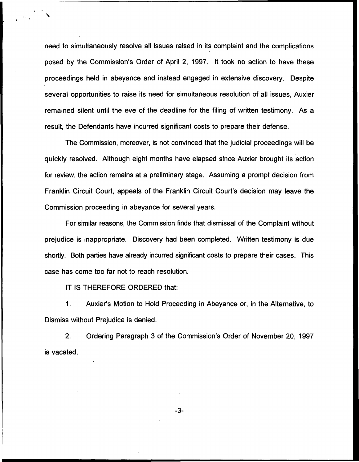need to simultaneously resolve all issues raised in its complaint and the complications posed by the Commission's Order of April 2, 1997. It took no action to have these proceedings held in abeyance and instead engaged in extensive discovery. Despite several opportunities to raise its need for simultaneous resolution of all issues, Auxier remained silent until the eve of the deadline for the filing of written testimony. As a result, the Defendants have incurred significant costs to prepare their defense.

The Commission, moreover, is not convinced that the judicial proceedings will be quickly resolved. Although eight months have elapsed since Auxier brought its action for review, the action remains at a preliminary stage. Assuming a prompt decision from Franklin Circuit Court, appeals of the Franklin Circuit Court's decision may leave the Commission proceeding in abeyance for several years.

For similar reasons, the Commission finds that dismissal of the Complaint without prejudice is inappropriate. Discovery had been completed. Written testimony is due shortly. Both parties have already incurred significant costs to prepare their cases. This case has come too far not to reach resolution.

IT IS THEREFORE ORDERED that:

1. Auxier's Motion to Hold Proceeding in Abeyance or, in the Alternative, to Dismiss without Prejudice is denied.

2. Ordering Paragraph 3 of the Commission's Order of November 20, 1997 is vacated.

 $-3-$